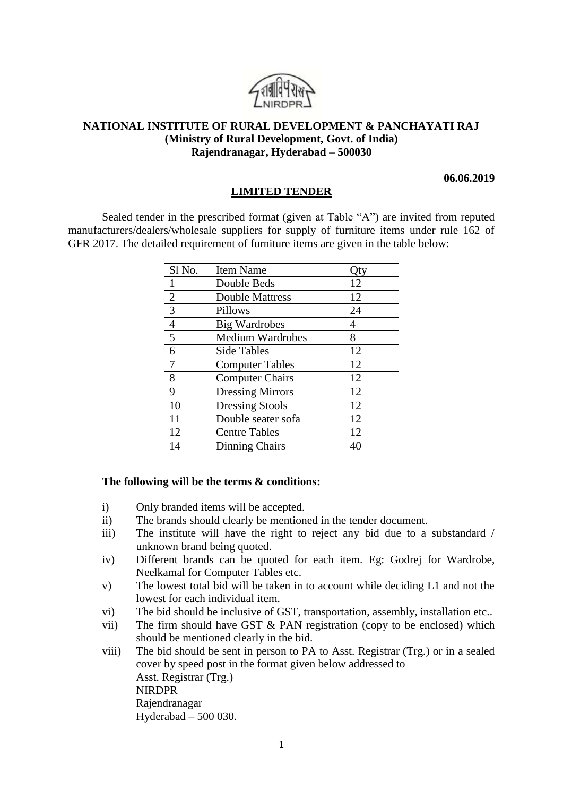

## **NATIONAL INSTITUTE OF RURAL DEVELOPMENT & PANCHAYATI RAJ (Ministry of Rural Development, Govt. of India) Rajendranagar, Hyderabad – 500030**

**06.06.2019**

## **LIMITED TENDER**

Sealed tender in the prescribed format (given at Table "A") are invited from reputed manufacturers/dealers/wholesale suppliers for supply of furniture items under rule 162 of GFR 2017. The detailed requirement of furniture items are given in the table below:

| Sl No.         | <b>Item Name</b>        | Qty |
|----------------|-------------------------|-----|
| 1              | Double Beds             | 12  |
| $\overline{2}$ | <b>Double Mattress</b>  | 12  |
| 3              | Pillows                 | 24  |
| 4              | <b>Big Wardrobes</b>    | 4   |
| 5              | <b>Medium Wardrobes</b> | 8   |
| 6              | <b>Side Tables</b>      | 12  |
| 7              | <b>Computer Tables</b>  | 12  |
| 8              | <b>Computer Chairs</b>  | 12  |
| 9              | <b>Dressing Mirrors</b> | 12  |
| 10             | <b>Dressing Stools</b>  | 12  |
| 11             | Double seater sofa      | 12  |
| 12             | <b>Centre Tables</b>    | 12  |
| 14             | <b>Dinning Chairs</b>   | 40  |

## **The following will be the terms & conditions:**

- i) Only branded items will be accepted.
- ii) The brands should clearly be mentioned in the tender document.
- iii) The institute will have the right to reject any bid due to a substandard / unknown brand being quoted.
- iv) Different brands can be quoted for each item. Eg: Godrej for Wardrobe, Neelkamal for Computer Tables etc.
- v) The lowest total bid will be taken in to account while deciding L1 and not the lowest for each individual item.
- vi) The bid should be inclusive of GST, transportation, assembly, installation etc..
- vii) The firm should have GST & PAN registration (copy to be enclosed) which should be mentioned clearly in the bid.
- viii) The bid should be sent in person to PA to Asst. Registrar (Trg.) or in a sealed cover by speed post in the format given below addressed to Asst. Registrar (Trg.) NIRDPR Rajendranagar Hyderabad – 500 030.